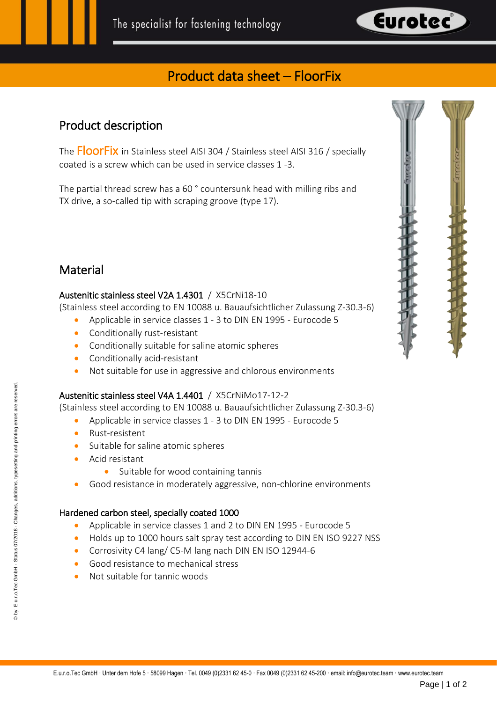

# Product data sheet – FloorFix

## Product description

The FloorFix in Stainless steel AISI 304 / Stainless steel AISI 316 / specially coated is a screw which can be used in service classes 1 -3.

The partial thread screw has a 60 ° countersunk head with milling ribs and TX drive, a so-called tip with scraping groove (type 17).

## **Material**

#### Austenitic stainless steel V2A 1.4301 / X5CrNi18-10

(Stainless steel according to EN 10088 u. Bauaufsichtlicher Zulassung Z-30.3-6)

- Applicable in service classes 1 3 to DIN EN 1995 Eurocode 5
- Conditionally rust-resistant
- Conditionally suitable for saline atomic spheres
- Conditionally acid-resistant
- Not suitable for use in aggressive and chlorous environments

### Austenitic stainless steel V4A 1.4401 / X5CrNiMo17-12-2

(Stainless steel according to EN 10088 u. Bauaufsichtlicher Zulassung Z-30.3-6)

- Applicable in service classes 1 3 to DIN EN 1995 Eurocode 5
- Rust-resistent
- Suitable for saline atomic spheres
- Acid resistant
	- Suitable for wood containing tannis
- Good resistance in moderately aggressive, non-chlorine environments

#### Hardened carbon steel, specially coated 1000

- Applicable in service classes 1 and 2 to DIN EN 1995 Eurocode 5
- Holds up to 1000 hours salt spray test according to DIN EN ISO 9227 NSS
- Corrosivity C4 lang/ C5-M lang nach DIN EN ISO 12944-6
- Good resistance to mechanical stress
- Not suitable for tannic woods